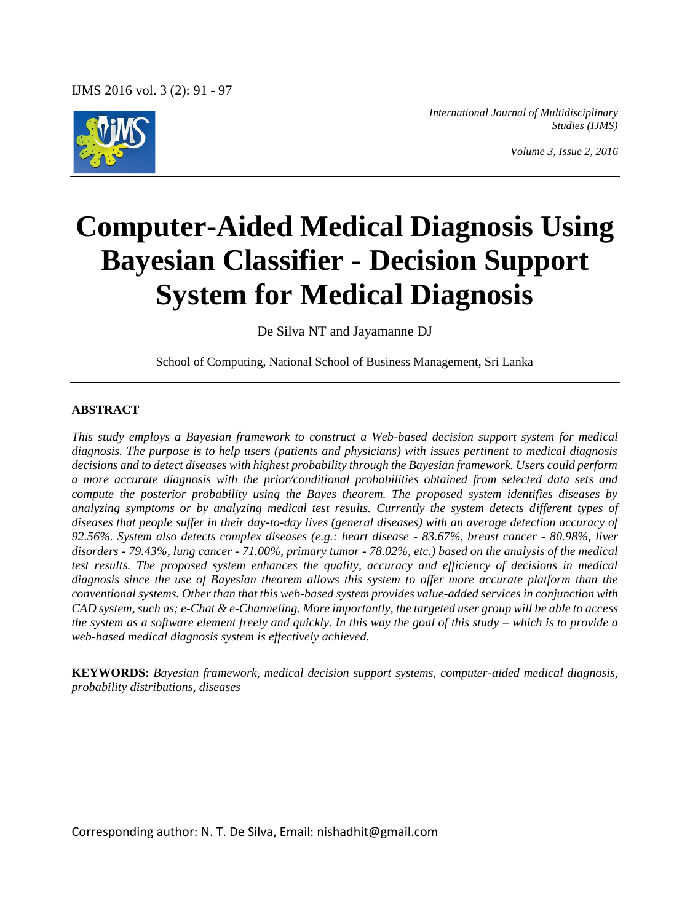

*International Journal of Multidisciplinary Studies (IJMS)*

*Volume 3, Issue 2, 2016*

# **Computer-Aided Medical Diagnosis Using Bayesian Classifier - Decision Support System for Medical Diagnosis**

De Silva NT and Jayamanne DJ

School of Computing, National School of Business Management, Sri Lanka

#### **ABSTRACT**

*This study employs a Bayesian framework to construct a Web-based decision support system for medical diagnosis. The purpose is to help users (patients and physicians) with issues pertinent to medical diagnosis decisions and to detect diseases with highest probability through the Bayesian framework. Users could perform a more accurate diagnosis with the prior/conditional probabilities obtained from selected data sets and compute the posterior probability using the Bayes theorem. The proposed system identifies diseases by analyzing symptoms or by analyzing medical test results. Currently the system detects different types of diseases that people suffer in their day-to-day lives (general diseases) with an average detection accuracy of 92.56%. System also detects complex diseases (e.g.: heart disease - 83.67%, breast cancer - 80.98%, liver disorders - 79.43%, lung cancer - 71.00%, primary tumor - 78.02%, etc.) based on the analysis of the medical test results. The proposed system enhances the quality, accuracy and efficiency of decisions in medical diagnosis since the use of Bayesian theorem allows this system to offer more accurate platform than the conventional systems. Other than that this web-based system provides value-added services in conjunction with CAD system, such as; e-Chat & e-Channeling. More importantly, the targeted user group will be able to access the system as a software element freely and quickly. In this way the goal of this study – which is to provide a web-based medical diagnosis system is effectively achieved.*

**KEYWORDS:** *Bayesian framework, medical decision support systems, computer-aided medical diagnosis, probability distributions, diseases*

Corresponding author: N. T. De Silva, Email: nishadhit@gmail.com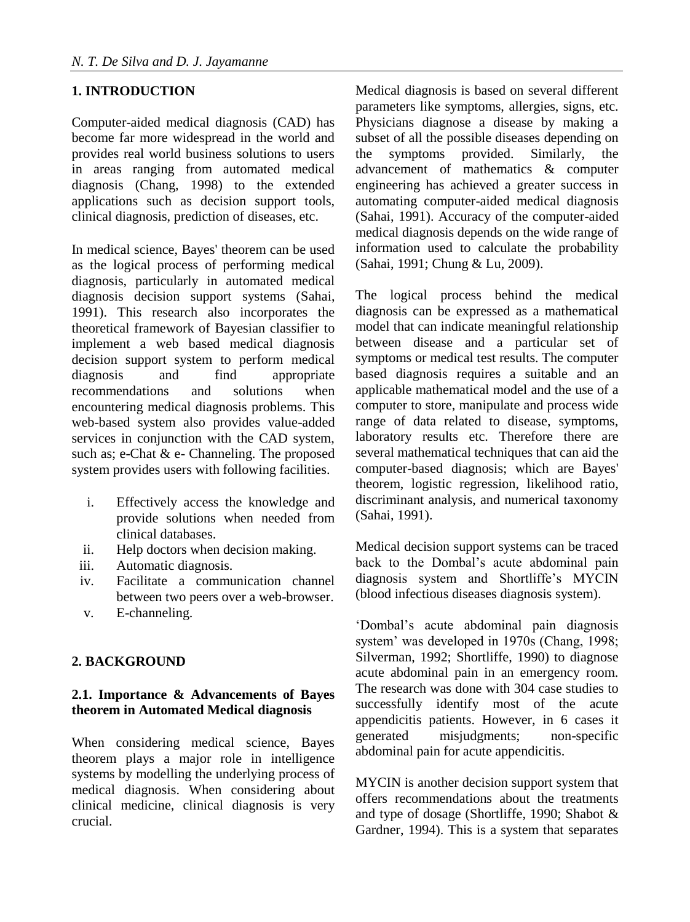# **1. INTRODUCTION**

Computer-aided medical diagnosis (CAD) has become far more widespread in the world and provides real world business solutions to users in areas ranging from automated medical diagnosis (Chang, 1998) to the extended applications such as decision support tools, clinical diagnosis, prediction of diseases, etc.

In medical science, Bayes' theorem can be used as the logical process of performing medical diagnosis, particularly in automated medical diagnosis decision support systems (Sahai, 1991). This research also incorporates the theoretical framework of Bayesian classifier to implement a web based medical diagnosis decision support system to perform medical diagnosis and find appropriate recommendations and solutions when encountering medical diagnosis problems. This web-based system also provides value-added services in conjunction with the CAD system, such as; e-Chat & e- Channeling. The proposed system provides users with following facilities.

- i. Effectively access the knowledge and provide solutions when needed from clinical databases.
- ii. Help doctors when decision making.
- iii. Automatic diagnosis.
- iv. Facilitate a communication channel between two peers over a web-browser.
- v. E-channeling.

# **2. BACKGROUND**

# **2.1. Importance & Advancements of Bayes theorem in Automated Medical diagnosis**

When considering medical science, Bayes theorem plays a major role in intelligence systems by modelling the underlying process of medical diagnosis. When considering about clinical medicine, clinical diagnosis is very crucial.

Medical diagnosis is based on several different parameters like symptoms, allergies, signs, etc. Physicians diagnose a disease by making a subset of all the possible diseases depending on the symptoms provided. Similarly, the advancement of mathematics & computer engineering has achieved a greater success in automating computer-aided medical diagnosis (Sahai, 1991). Accuracy of the computer-aided medical diagnosis depends on the wide range of information used to calculate the probability (Sahai, 1991; Chung & Lu, 2009).

The logical process behind the medical diagnosis can be expressed as a mathematical model that can indicate meaningful relationship between disease and a particular set of symptoms or medical test results. The computer based diagnosis requires a suitable and an applicable mathematical model and the use of a computer to store, manipulate and process wide range of data related to disease, symptoms, laboratory results etc. Therefore there are several mathematical techniques that can aid the computer-based diagnosis; which are Bayes' theorem, logistic regression, likelihood ratio, discriminant analysis, and numerical taxonomy (Sahai, 1991).

Medical decision support systems can be traced back to the Dombal's acute abdominal pain diagnosis system and Shortliffe's MYCIN (blood infectious diseases diagnosis system).

'Dombal's acute abdominal pain diagnosis system' was developed in 1970s (Chang, 1998; Silverman, 1992; Shortliffe, 1990) to diagnose acute abdominal pain in an emergency room. The research was done with 304 case studies to successfully identify most of the acute appendicitis patients. However, in 6 cases it generated misjudgments; non-specific abdominal pain for acute appendicitis.

MYCIN is another decision support system that offers recommendations about the treatments and type of dosage (Shortliffe, 1990; Shabot & Gardner, 1994). This is a system that separates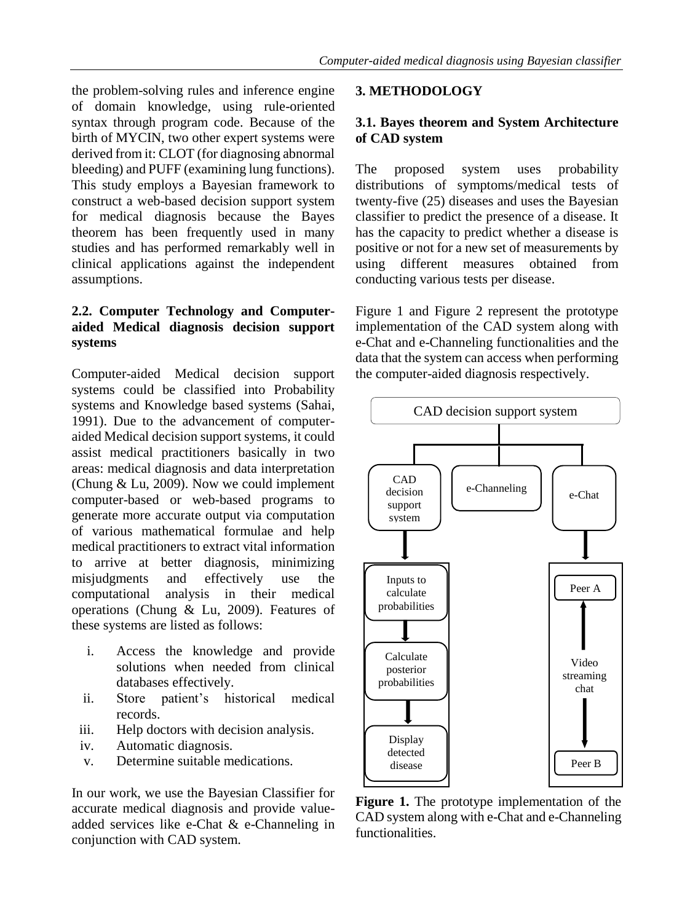the problem-solving rules and inference engine of domain knowledge, using rule-oriented syntax through program code. Because of the birth of MYCIN, two other expert systems were derived from it: CLOT (for diagnosing abnormal bleeding) and PUFF (examining lung functions). This study employs a Bayesian framework to construct a web-based decision support system for medical diagnosis because the Bayes theorem has been frequently used in many studies and has performed remarkably well in clinical applications against the independent assumptions.

## **2.2. Computer Technology and Computeraided Medical diagnosis decision support systems**

Computer-aided Medical decision support systems could be classified into Probability systems and Knowledge based systems (Sahai, 1991). Due to the advancement of computeraided Medical decision support systems, it could assist medical practitioners basically in two areas: medical diagnosis and data interpretation (Chung & Lu, 2009). Now we could implement computer-based or web-based programs to generate more accurate output via computation of various mathematical formulae and help medical practitioners to extract vital information to arrive at better diagnosis, minimizing misjudgments and effectively use the computational analysis in their medical operations (Chung & Lu, 2009). Features of these systems are listed as follows:

- i. Access the knowledge and provide solutions when needed from clinical databases effectively.
- ii. Store patient's historical medical records.
- iii. Help doctors with decision analysis.
- iv. Automatic diagnosis.
- v. Determine suitable medications.

In our work, we use the Bayesian Classifier for accurate medical diagnosis and provide valueadded services like e-Chat & e-Channeling in conjunction with CAD system.

#### **3. METHODOLOGY**

## **3.1. Bayes theorem and System Architecture of CAD system**

The proposed system uses probability distributions of symptoms/medical tests of twenty-five (25) diseases and uses the Bayesian classifier to predict the presence of a disease. It has the capacity to predict whether a disease is positive or not for a new set of measurements by using different measures obtained from conducting various tests per disease.

Figure 1 and Figure 2 represent the prototype implementation of the CAD system along with e-Chat and e-Channeling functionalities and the data that the system can access when performing the computer-aided diagnosis respectively.



**Figure 1.** The prototype implementation of the CAD system along with e-Chat and e-Channeling functionalities.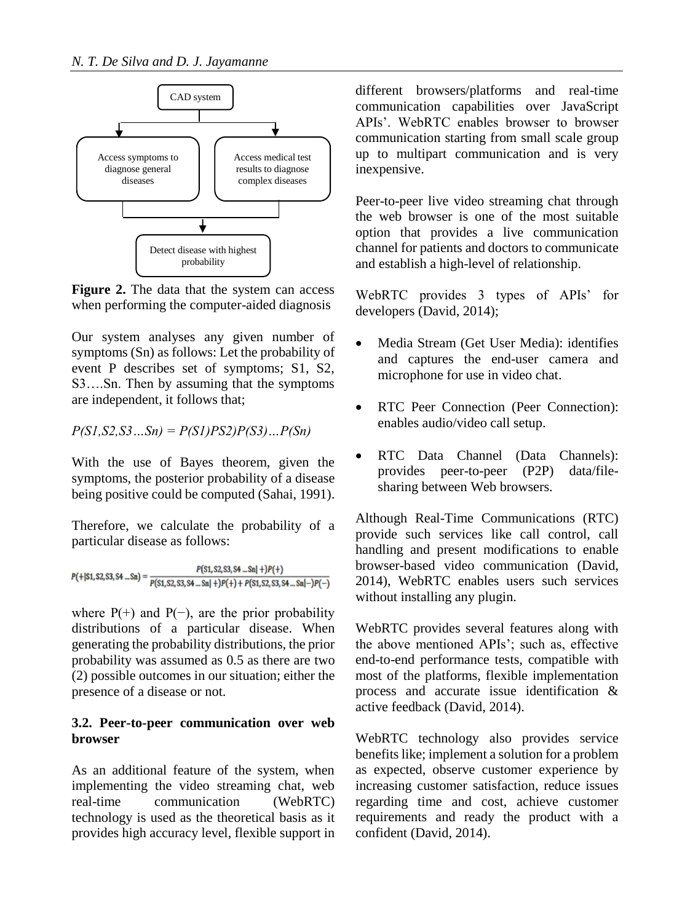

**Figure 2.** The data that the system can access when performing the computer-aided diagnosis

Our system analyses any given number of symptoms (Sn) as follows: Let the probability of event P describes set of symptoms; S1, S2, S3….Sn. Then by assuming that the symptoms are independent, it follows that;

*P(S1,S2,S3…Sn) = P(S1)PS2)P(S3)…P(Sn)*

With the use of Bayes theorem, given the symptoms, the posterior probability of a disease being positive could be computed (Sahai, 1991).

Therefore, we calculate the probability of a particular disease as follows:

 $P(S1, S2, S3, S4 ... Sn| +)P(+)$  $P(1, 52, 53, 54...Sn) = \frac{P(51, 52, 53, 54...Sn) + P(+)}{P(51, 52, 53, 54...Sn) + P(+) + P(51, 52, 53, 54...Sn) - P(-)}$ 

where  $P(+)$  and  $P(-)$ , are the prior probability distributions of a particular disease. When generating the probability distributions, the prior probability was assumed as 0.5 as there are two (2) possible outcomes in our situation; either the presence of a disease or not.

# **3.2. Peer-to-peer communication over web browser**

As an additional feature of the system, when implementing the video streaming chat, web real-time communication (WebRTC) technology is used as the theoretical basis as it provides high accuracy level, flexible support in

different browsers/platforms and real-time communication capabilities over JavaScript APIs'. WebRTC enables browser to browser communication starting from small scale group up to multipart communication and is very inexpensive.

Peer-to-peer live video streaming chat through the web browser is one of the most suitable option that provides a live communication channel for patients and doctors to communicate and establish a high-level of relationship.

WebRTC provides 3 types of APIs' for developers (David, 2014);

- Media Stream (Get User Media): identifies and captures the end-user camera and microphone for use in video chat.
- RTC Peer Connection (Peer Connection): enables audio/video call setup.
- RTC Data Channel (Data Channels): provides peer-to-peer (P2P) data/filesharing between Web browsers.

Although Real-Time Communications (RTC) provide such services like call control, call handling and present modifications to enable browser-based video communication (David, 2014), WebRTC enables users such services without installing any plugin.

WebRTC provides several features along with the above mentioned APIs'; such as, effective end-to-end performance tests, compatible with most of the platforms, flexible implementation process and accurate issue identification & active feedback (David, 2014).

WebRTC technology also provides service benefits like; implement a solution for a problem as expected, observe customer experience by increasing customer satisfaction, reduce issues regarding time and cost, achieve customer requirements and ready the product with a confident (David, 2014).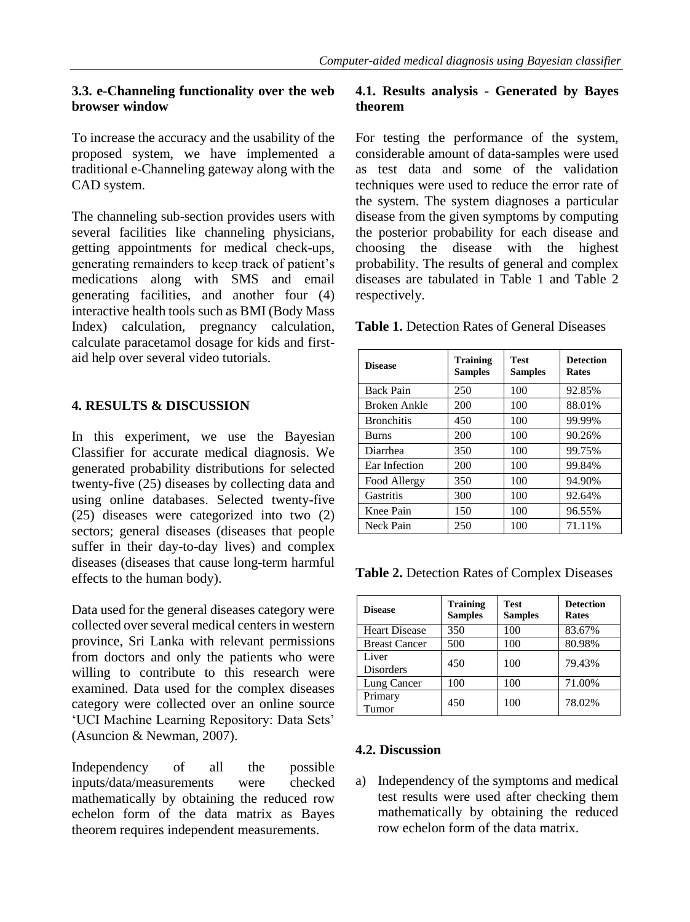# **3.3. e-Channeling functionality over the web browser window**

To increase the accuracy and the usability of the proposed system, we have implemented a traditional e-Channeling gateway along with the CAD system.

The channeling sub-section provides users with several facilities like channeling physicians, getting appointments for medical check-ups, generating remainders to keep track of patient's medications along with SMS and email generating facilities, and another four (4) interactive health tools such as BMI (Body Mass Index) calculation, pregnancy calculation, calculate paracetamol dosage for kids and firstaid help over several video tutorials.

# **4. RESULTS & DISCUSSION**

In this experiment, we use the Bayesian Classifier for accurate medical diagnosis. We generated probability distributions for selected twenty-five (25) diseases by collecting data and using online databases. Selected twenty-five (25) diseases were categorized into two (2) sectors; general diseases (diseases that people suffer in their day-to-day lives) and complex diseases (diseases that cause long-term harmful effects to the human body).

Data used for the general diseases category were collected over several medical centers in western province, Sri Lanka with relevant permissions from doctors and only the patients who were willing to contribute to this research were examined. Data used for the complex diseases category were collected over an online source 'UCI Machine Learning Repository: Data Sets' (Asuncion & Newman, 2007).

Independency of all the possible inputs/data/measurements were checked mathematically by obtaining the reduced row echelon form of the data matrix as Bayes theorem requires independent measurements.

# **4.1. Results analysis - Generated by Bayes theorem**

For testing the performance of the system, considerable amount of data-samples were used as test data and some of the validation techniques were used to reduce the error rate of the system. The system diagnoses a particular disease from the given symptoms by computing the posterior probability for each disease and choosing the disease with the highest probability. The results of general and complex diseases are tabulated in Table 1 and Table 2 respectively.

**Table 1.** Detection Rates of General Diseases

| <b>Disease</b>    | <b>Training</b><br><b>Samples</b> | <b>Test</b><br><b>Samples</b> | <b>Detection</b><br>Rates |
|-------------------|-----------------------------------|-------------------------------|---------------------------|
| <b>Back Pain</b>  | 250                               | 100                           | 92.85%                    |
| Broken Ankle      | 200                               | 100                           | 88.01%                    |
| <b>Bronchitis</b> | 450                               | 100                           | 99.99%                    |
| <b>Burns</b>      | 200                               | 100                           | 90.26%                    |
| Diarrhea          | 350                               | 100                           | 99.75%                    |
| Ear Infection     | 200                               | 100                           | 99.84%                    |
| Food Allergy      | 350                               | 100                           | 94.90%                    |
| Gastritis         | 300                               | 100                           | 92.64%                    |
| Knee Pain         | 150                               | 100                           | 96.55%                    |
| Neck Pain         | 250                               | 100                           | 71.11%                    |

**Table 2.** Detection Rates of Complex Diseases

| <b>Disease</b>            | <b>Training</b><br><b>Samples</b> | <b>Test</b><br><b>Samples</b> | <b>Detection</b><br><b>Rates</b> |
|---------------------------|-----------------------------------|-------------------------------|----------------------------------|
| <b>Heart Disease</b>      | 350                               | 100                           | 83.67%                           |
| <b>Breast Cancer</b>      | 500                               | 100                           | 80.98%                           |
| Liver<br><b>Disorders</b> | 450                               | 100                           | 79.43%                           |
| Lung Cancer               | 100                               | 100                           | 71.00%                           |
| Primary<br>Tumor          | 450                               | 100                           | 78.02%                           |

#### **4.2. Discussion**

a) Independency of the symptoms and medical test results were used after checking them mathematically by obtaining the reduced row echelon form of the data matrix.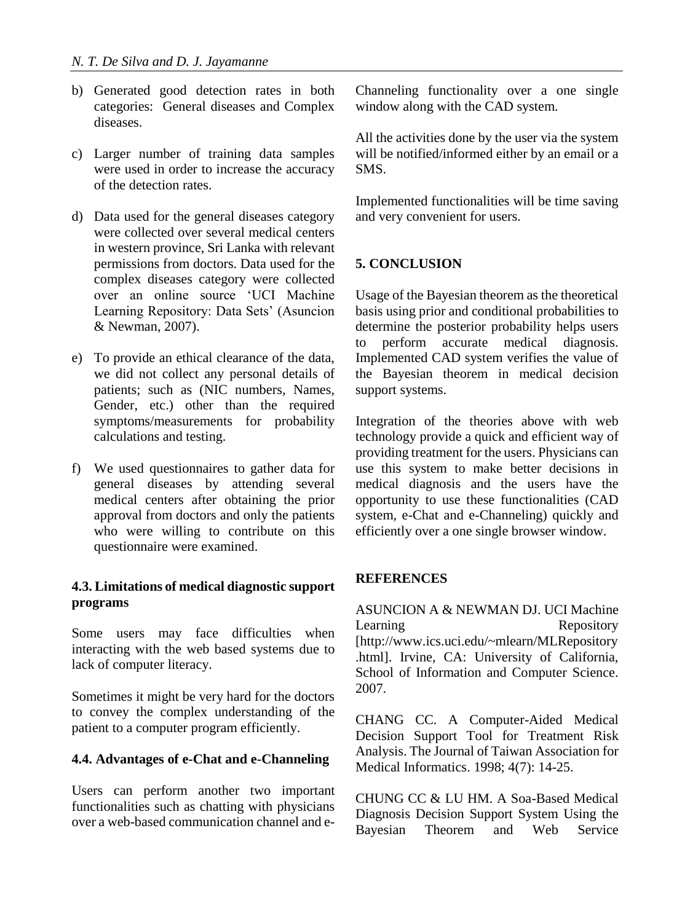- b) Generated good detection rates in both categories: General diseases and Complex diseases.
- c) Larger number of training data samples were used in order to increase the accuracy of the detection rates.
- d) Data used for the general diseases category were collected over several medical centers in western province, Sri Lanka with relevant permissions from doctors. Data used for the complex diseases category were collected over an online source 'UCI Machine Learning Repository: Data Sets' (Asuncion & Newman, 2007).
- e) To provide an ethical clearance of the data, we did not collect any personal details of patients; such as (NIC numbers, Names, Gender, etc.) other than the required symptoms/measurements for probability calculations and testing.
- f) We used questionnaires to gather data for general diseases by attending several medical centers after obtaining the prior approval from doctors and only the patients who were willing to contribute on this questionnaire were examined.

# **4.3. Limitations of medical diagnostic support programs**

Some users may face difficulties when interacting with the web based systems due to lack of computer literacy.

Sometimes it might be very hard for the doctors to convey the complex understanding of the patient to a computer program efficiently.

# **4.4. Advantages of e-Chat and e-Channeling**

Users can perform another two important functionalities such as chatting with physicians over a web-based communication channel and eChanneling functionality over a one single window along with the CAD system.

All the activities done by the user via the system will be notified/informed either by an email or a SMS.

Implemented functionalities will be time saving and very convenient for users.

# **5. CONCLUSION**

Usage of the Bayesian theorem as the theoretical basis using prior and conditional probabilities to determine the posterior probability helps users to perform accurate medical diagnosis. Implemented CAD system verifies the value of the Bayesian theorem in medical decision support systems.

Integration of the theories above with web technology provide a quick and efficient way of providing treatment for the users. Physicians can use this system to make better decisions in medical diagnosis and the users have the opportunity to use these functionalities (CAD system, e-Chat and e-Channeling) quickly and efficiently over a one single browser window.

#### **REFERENCES**

ASUNCION A & NEWMAN DJ. UCI Machine Learning Repository [http://www.ics.uci.edu/~mlearn/MLRepository .html]. Irvine, CA: University of California, School of Information and Computer Science. 2007.

CHANG CC. A Computer-Aided Medical Decision Support Tool for Treatment Risk Analysis. The Journal of Taiwan Association for Medical Informatics. 1998; 4(7): 14-25.

CHUNG CC & LU HM. A Soa-Based Medical Diagnosis Decision Support System Using the Bayesian Theorem and Web Service